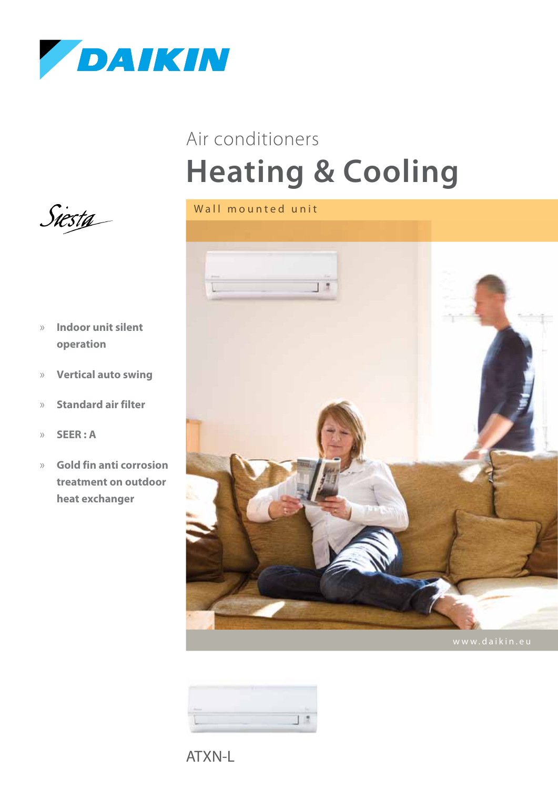

## **Heating & Cooling** Air conditioners





ATXN-L



- » **Indoor unit silent operation**
- » **Vertical auto swing**
- » **Standard air filter**
- » **SEER : A**
- » **Gold fin anti corrosion treatment on outdoor heat exchanger**